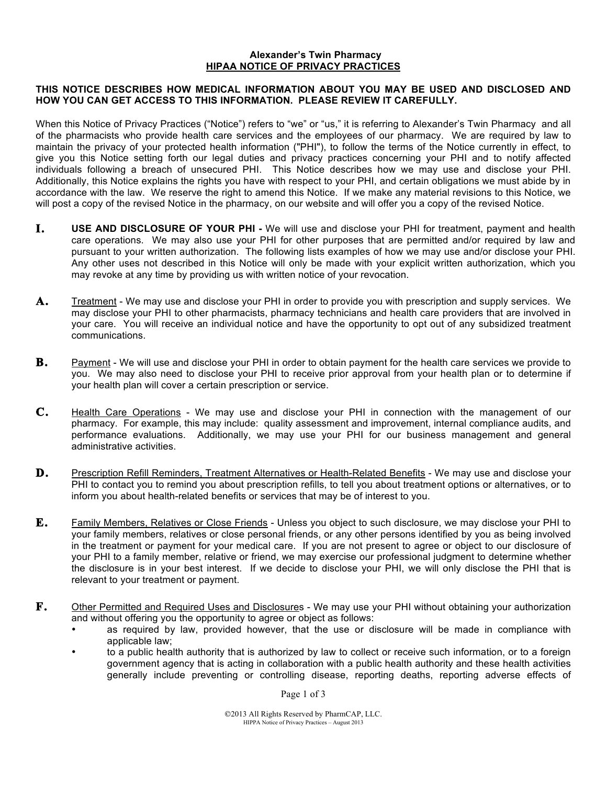## **Alexander's Twin Pharmacy HIPAA NOTICE OF PRIVACY PRACTICES**

## **THIS NOTICE DESCRIBES HOW MEDICAL INFORMATION ABOUT YOU MAY BE USED AND DISCLOSED AND HOW YOU CAN GET ACCESS TO THIS INFORMATION. PLEASE REVIEW IT CAREFULLY.**

When this Notice of Privacy Practices ("Notice") refers to "we" or "us," it is referring to Alexander's Twin Pharmacy and all of the pharmacists who provide health care services and the employees of our pharmacy. We are required by law to maintain the privacy of your protected health information ("PHI"), to follow the terms of the Notice currently in effect, to give you this Notice setting forth our legal duties and privacy practices concerning your PHI and to notify affected individuals following a breach of unsecured PHI. This Notice describes how we may use and disclose your PHI. Additionally, this Notice explains the rights you have with respect to your PHI, and certain obligations we must abide by in accordance with the law. We reserve the right to amend this Notice. If we make any material revisions to this Notice, we will post a copy of the revised Notice in the pharmacy, on our website and will offer you a copy of the revised Notice.

- **I. USE AND DISCLOSURE OF YOUR PHI -** We will use and disclose your PHI for treatment, payment and health care operations. We may also use your PHI for other purposes that are permitted and/or required by law and pursuant to your written authorization. The following lists examples of how we may use and/or disclose your PHI. Any other uses not described in this Notice will only be made with your explicit written authorization, which you may revoke at any time by providing us with written notice of your revocation.
- **A.** Treatment We may use and disclose your PHI in order to provide you with prescription and supply services. We may disclose your PHI to other pharmacists, pharmacy technicians and health care providers that are involved in your care. You will receive an individual notice and have the opportunity to opt out of any subsidized treatment communications.
- **B.** Payment We will use and disclose your PHI in order to obtain payment for the health care services we provide to you. We may also need to disclose your PHI to receive prior approval from your health plan or to determine if your health plan will cover a certain prescription or service.
- **C.** Health Care Operations We may use and disclose your PHI in connection with the management of our pharmacy. For example, this may include: quality assessment and improvement, internal compliance audits, and performance evaluations. Additionally, we may use your PHI for our business management and general administrative activities.
- **D.** Prescription Refill Reminders, Treatment Alternatives or Health-Related Benefits We may use and disclose your PHI to contact you to remind you about prescription refills, to tell you about treatment options or alternatives, or to inform you about health-related benefits or services that may be of interest to you.
- **E.** Family Members, Relatives or Close Friends Unless you object to such disclosure, we may disclose your PHI to your family members, relatives or close personal friends, or any other persons identified by you as being involved in the treatment or payment for your medical care. If you are not present to agree or object to our disclosure of your PHI to a family member, relative or friend, we may exercise our professional judgment to determine whether the disclosure is in your best interest. If we decide to disclose your PHI, we will only disclose the PHI that is relevant to your treatment or payment.
- **F.** Other Permitted and Required Uses and Disclosures We may use your PHI without obtaining your authorization and without offering you the opportunity to agree or object as follows:
	- as required by law, provided however, that the use or disclosure will be made in compliance with applicable law;
	- to a public health authority that is authorized by law to collect or receive such information, or to a foreign government agency that is acting in collaboration with a public health authority and these health activities generally include preventing or controlling disease, reporting deaths, reporting adverse effects of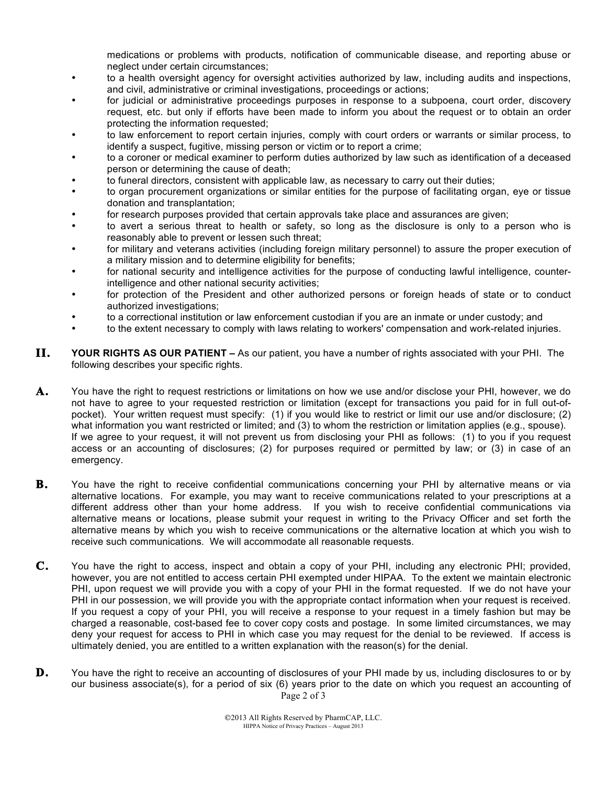medications or problems with products, notification of communicable disease, and reporting abuse or neglect under certain circumstances;

- to a health oversight agency for oversight activities authorized by law, including audits and inspections, and civil, administrative or criminal investigations, proceedings or actions;
- for judicial or administrative proceedings purposes in response to a subpoena, court order, discovery request, etc. but only if efforts have been made to inform you about the request or to obtain an order protecting the information requested;
- to law enforcement to report certain injuries, comply with court orders or warrants or similar process, to identify a suspect, fugitive, missing person or victim or to report a crime;
- to a coroner or medical examiner to perform duties authorized by law such as identification of a deceased person or determining the cause of death;
- to funeral directors, consistent with applicable law, as necessary to carry out their duties;
- to organ procurement organizations or similar entities for the purpose of facilitating organ, eye or tissue donation and transplantation;
- for research purposes provided that certain approvals take place and assurances are given;
- to avert a serious threat to health or safety, so long as the disclosure is only to a person who is reasonably able to prevent or lessen such threat;
- for military and veterans activities (including foreign military personnel) to assure the proper execution of a military mission and to determine eligibility for benefits;
- for national security and intelligence activities for the purpose of conducting lawful intelligence, counterintelligence and other national security activities;
- for protection of the President and other authorized persons or foreign heads of state or to conduct authorized investigations;
- to a correctional institution or law enforcement custodian if you are an inmate or under custody; and
- to the extent necessary to comply with laws relating to workers' compensation and work-related injuries.
- **II. YOUR RIGHTS AS OUR PATIENT –** As our patient, you have a number of rights associated with your PHI. The following describes your specific rights.
- **A.** You have the right to request restrictions or limitations on how we use and/or disclose your PHI, however, we do not have to agree to your requested restriction or limitation (except for transactions you paid for in full out-ofpocket). Your written request must specify: (1) if you would like to restrict or limit our use and/or disclosure; (2) what information you want restricted or limited; and (3) to whom the restriction or limitation applies (e.g., spouse). If we agree to your request, it will not prevent us from disclosing your PHI as follows: (1) to you if you request access or an accounting of disclosures; (2) for purposes required or permitted by law; or (3) in case of an emergency.
- **B.** You have the right to receive confidential communications concerning your PHI by alternative means or via alternative locations. For example, you may want to receive communications related to your prescriptions at a different address other than your home address. If you wish to receive confidential communications via alternative means or locations, please submit your request in writing to the Privacy Officer and set forth the alternative means by which you wish to receive communications or the alternative location at which you wish to receive such communications. We will accommodate all reasonable requests.
- **C.** You have the right to access, inspect and obtain a copy of your PHI, including any electronic PHI; provided, however, you are not entitled to access certain PHI exempted under HIPAA. To the extent we maintain electronic PHI, upon request we will provide you with a copy of your PHI in the format requested. If we do not have your PHI in our possession, we will provide you with the appropriate contact information when your request is received. If you request a copy of your PHI, you will receive a response to your request in a timely fashion but may be charged a reasonable, cost-based fee to cover copy costs and postage. In some limited circumstances, we may deny your request for access to PHI in which case you may request for the denial to be reviewed. If access is ultimately denied, you are entitled to a written explanation with the reason(s) for the denial.
- Page 2 of 3 **D.** You have the right to receive an accounting of disclosures of your PHI made by us, including disclosures to or by our business associate(s), for a period of six (6) years prior to the date on which you request an accounting of